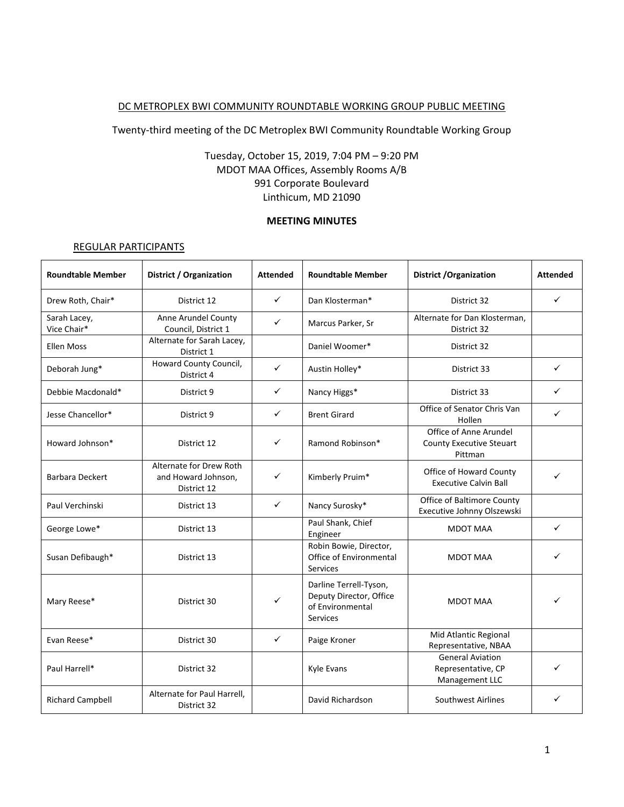#### DC METROPLEX BWI COMMUNITY ROUNDTABLE WORKING GROUP PUBLIC MEETING

Twenty-third meeting of the DC Metroplex BWI Community Roundtable Working Group

# Tuesday, October 15, 2019, 7:04 PM – 9:20 PM MDOT MAA Offices, Assembly Rooms A/B 991 Corporate Boulevard Linthicum, MD 21090

#### **MEETING MINUTES**

#### REGULAR PARTICIPANTS

| <b>Roundtable Member</b>    | District / Organization                                       | <b>Attended</b> | <b>Roundtable Member</b>                                                                 | <b>District / Organization</b>                                       | <b>Attended</b> |
|-----------------------------|---------------------------------------------------------------|-----------------|------------------------------------------------------------------------------------------|----------------------------------------------------------------------|-----------------|
| Drew Roth, Chair*           | District 12                                                   | $\checkmark$    | Dan Klosterman*                                                                          | District 32                                                          | $\checkmark$    |
| Sarah Lacey,<br>Vice Chair* | Anne Arundel County<br>Council, District 1                    | $\checkmark$    | Marcus Parker, Sr                                                                        | Alternate for Dan Klosterman,<br>District 32                         |                 |
| <b>Ellen Moss</b>           | Alternate for Sarah Lacey,<br>District 1                      |                 | Daniel Woomer*                                                                           | District 32                                                          |                 |
| Deborah Jung*               | Howard County Council,<br>District 4                          | ✓               | Austin Holley*                                                                           | District 33                                                          | ✓               |
| Debbie Macdonald*           | District 9                                                    | ✓               | Nancy Higgs*                                                                             | District 33                                                          | ✓               |
| Jesse Chancellor*           | District 9                                                    | ✓               | <b>Brent Girard</b>                                                                      | Office of Senator Chris Van<br>Hollen                                | ✓               |
| Howard Johnson*             | District 12                                                   | ✓               | Ramond Robinson*                                                                         | Office of Anne Arundel<br><b>County Executive Steuart</b><br>Pittman |                 |
| <b>Barbara Deckert</b>      | Alternate for Drew Roth<br>and Howard Johnson,<br>District 12 | ✓               | Kimberly Pruim*                                                                          | Office of Howard County<br><b>Executive Calvin Ball</b>              |                 |
| Paul Verchinski             | District 13                                                   | $\checkmark$    | Nancy Surosky*                                                                           | Office of Baltimore County<br>Executive Johnny Olszewski             |                 |
| George Lowe*                | District 13                                                   |                 | Paul Shank, Chief<br>Engineer                                                            | <b>MDOT MAA</b>                                                      | $\checkmark$    |
| Susan Defibaugh*            | District 13                                                   |                 | Robin Bowie, Director,<br>Office of Environmental<br>Services                            | <b>MDOT MAA</b>                                                      |                 |
| Mary Reese*                 | District 30                                                   | ✓               | Darline Terrell-Tyson,<br>Deputy Director, Office<br>of Environmental<br><b>Services</b> | <b>MDOT MAA</b>                                                      |                 |
| Evan Reese*                 | District 30                                                   | $\checkmark$    | Paige Kroner                                                                             | Mid Atlantic Regional<br>Representative, NBAA                        |                 |
| Paul Harrell*               | District 32                                                   |                 | Kyle Evans                                                                               | <b>General Aviation</b><br>Representative, CP<br>Management LLC      |                 |
| <b>Richard Campbell</b>     | Alternate for Paul Harrell,<br>District 32                    |                 | David Richardson                                                                         | Southwest Airlines                                                   | ✓               |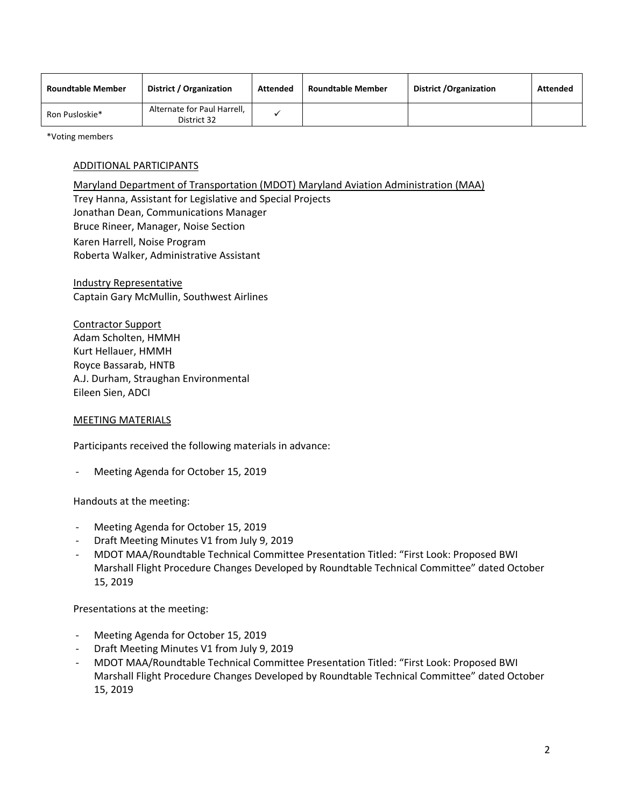| <b>Roundtable Member</b> | District / Organization                    | Attended | <b>Roundtable Member</b> | District / Organization | <b>Attended</b> |
|--------------------------|--------------------------------------------|----------|--------------------------|-------------------------|-----------------|
| Ron Pusloskie*           | Alternate for Paul Harrell,<br>District 32 |          |                          |                         |                 |

\*Voting members

## ADDITIONAL PARTICIPANTS

Maryland Department of Transportation (MDOT) Maryland Aviation Administration (MAA) Trey Hanna, Assistant for Legislative and Special Projects Jonathan Dean, Communications Manager Bruce Rineer, Manager, Noise Section Karen Harrell, Noise Program Roberta Walker, Administrative Assistant

Industry Representative Captain Gary McMullin, Southwest Airlines

Contractor Support Adam Scholten, HMMH Kurt Hellauer, HMMH Royce Bassarab, HNTB A.J. Durham, Straughan Environmental Eileen Sien, ADCI

### MEETING MATERIALS

Participants received the following materials in advance:

Meeting Agenda for October 15, 2019

Handouts at the meeting:

- Meeting Agenda for October 15, 2019
- Draft Meeting Minutes V1 from July 9, 2019
- MDOT MAA/Roundtable Technical Committee Presentation Titled: "First Look: Proposed BWI Marshall Flight Procedure Changes Developed by Roundtable Technical Committee" dated October 15, 2019

Presentations at the meeting:

- Meeting Agenda for October 15, 2019
- Draft Meeting Minutes V1 from July 9, 2019
- MDOT MAA/Roundtable Technical Committee Presentation Titled: "First Look: Proposed BWI Marshall Flight Procedure Changes Developed by Roundtable Technical Committee" dated October 15, 2019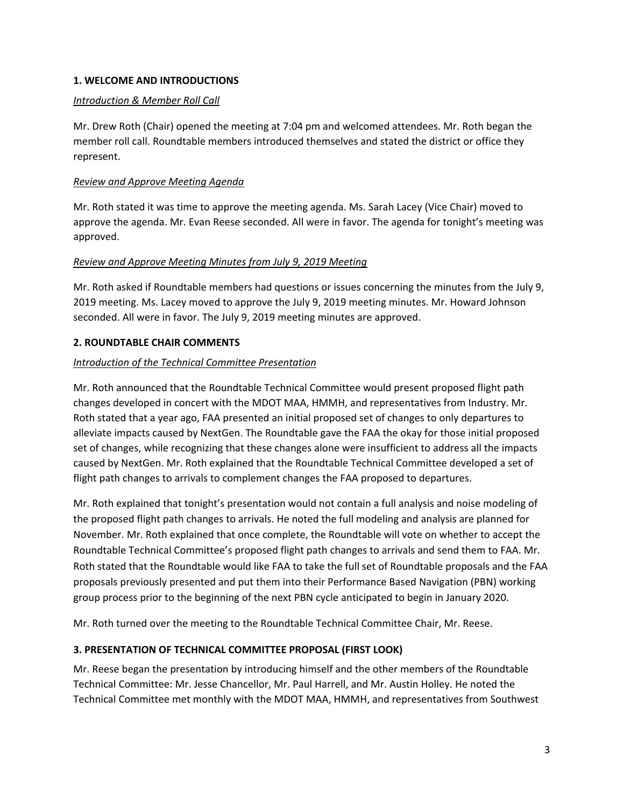## **1. WELCOME AND INTRODUCTIONS**

## *Introduction & Member Roll Call*

Mr. Drew Roth (Chair) opened the meeting at 7:04 pm and welcomed attendees. Mr. Roth began the member roll call. Roundtable members introduced themselves and stated the district or office they represent.

## *Review and Approve Meeting Agenda*

Mr. Roth stated it was time to approve the meeting agenda. Ms. Sarah Lacey (Vice Chair) moved to approve the agenda. Mr. Evan Reese seconded. All were in favor. The agenda for tonight's meeting was approved.

## *Review and Approve Meeting Minutes from July 9, 2019 Meeting*

Mr. Roth asked if Roundtable members had questions or issues concerning the minutes from the July 9, 2019 meeting. Ms. Lacey moved to approve the July 9, 2019 meeting minutes. Mr. Howard Johnson seconded. All were in favor. The July 9, 2019 meeting minutes are approved.

## **2. ROUNDTABLE CHAIR COMMENTS**

## *Introduction of the Technical Committee Presentation*

Mr. Roth announced that the Roundtable Technical Committee would present proposed flight path changes developed in concert with the MDOT MAA, HMMH, and representatives from Industry. Mr. Roth stated that a year ago, FAA presented an initial proposed set of changes to only departures to alleviate impacts caused by NextGen. The Roundtable gave the FAA the okay for those initial proposed set of changes, while recognizing that these changes alone were insufficient to address all the impacts caused by NextGen. Mr. Roth explained that the Roundtable Technical Committee developed a set of flight path changes to arrivals to complement changes the FAA proposed to departures.

Mr. Roth explained that tonight's presentation would not contain a full analysis and noise modeling of the proposed flight path changes to arrivals. He noted the full modeling and analysis are planned for November. Mr. Roth explained that once complete, the Roundtable will vote on whether to accept the Roundtable Technical Committee's proposed flight path changes to arrivals and send them to FAA. Mr. Roth stated that the Roundtable would like FAA to take the full set of Roundtable proposals and the FAA proposals previously presented and put them into their Performance Based Navigation (PBN) working group process prior to the beginning of the next PBN cycle anticipated to begin in January 2020.

Mr. Roth turned over the meeting to the Roundtable Technical Committee Chair, Mr. Reese.

# **3. PRESENTATION OF TECHNICAL COMMITTEE PROPOSAL (FIRST LOOK)**

Mr. Reese began the presentation by introducing himself and the other members of the Roundtable Technical Committee: Mr. Jesse Chancellor, Mr. Paul Harrell, and Mr. Austin Holley. He noted the Technical Committee met monthly with the MDOT MAA, HMMH, and representatives from Southwest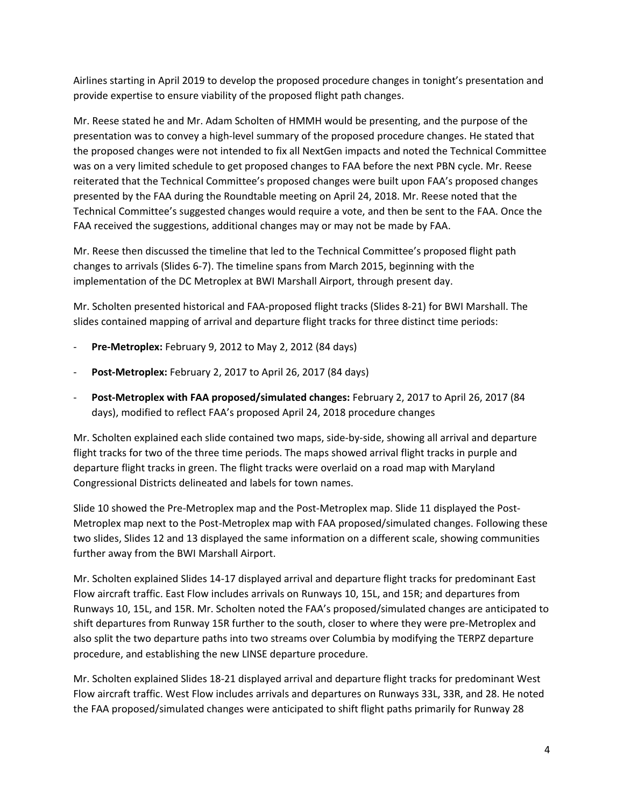Airlines starting in April 2019 to develop the proposed procedure changes in tonight's presentation and provide expertise to ensure viability of the proposed flight path changes.

Mr. Reese stated he and Mr. Adam Scholten of HMMH would be presenting, and the purpose of the presentation was to convey a high-level summary of the proposed procedure changes. He stated that the proposed changes were not intended to fix all NextGen impacts and noted the Technical Committee was on a very limited schedule to get proposed changes to FAA before the next PBN cycle. Mr. Reese reiterated that the Technical Committee's proposed changes were built upon FAA's proposed changes presented by the FAA during the Roundtable meeting on April 24, 2018. Mr. Reese noted that the Technical Committee's suggested changes would require a vote, and then be sent to the FAA. Once the FAA received the suggestions, additional changes may or may not be made by FAA.

Mr. Reese then discussed the timeline that led to the Technical Committee's proposed flight path changes to arrivals (Slides 6-7). The timeline spans from March 2015, beginning with the implementation of the DC Metroplex at BWI Marshall Airport, through present day.

Mr. Scholten presented historical and FAA-proposed flight tracks (Slides 8-21) for BWI Marshall. The slides contained mapping of arrival and departure flight tracks for three distinct time periods:

- **Pre-Metroplex:** February 9, 2012 to May 2, 2012 (84 days)
- **Post-Metroplex:** February 2, 2017 to April 26, 2017 (84 days)
- **Post-Metroplex with FAA proposed/simulated changes:** February 2, 2017 to April 26, 2017 (84 days), modified to reflect FAA's proposed April 24, 2018 procedure changes

Mr. Scholten explained each slide contained two maps, side-by-side, showing all arrival and departure flight tracks for two of the three time periods. The maps showed arrival flight tracks in purple and departure flight tracks in green. The flight tracks were overlaid on a road map with Maryland Congressional Districts delineated and labels for town names.

Slide 10 showed the Pre-Metroplex map and the Post-Metroplex map. Slide 11 displayed the Post-Metroplex map next to the Post-Metroplex map with FAA proposed/simulated changes. Following these two slides, Slides 12 and 13 displayed the same information on a different scale, showing communities further away from the BWI Marshall Airport.

Mr. Scholten explained Slides 14-17 displayed arrival and departure flight tracks for predominant East Flow aircraft traffic. East Flow includes arrivals on Runways 10, 15L, and 15R; and departures from Runways 10, 15L, and 15R. Mr. Scholten noted the FAA's proposed/simulated changes are anticipated to shift departures from Runway 15R further to the south, closer to where they were pre-Metroplex and also split the two departure paths into two streams over Columbia by modifying the TERPZ departure procedure, and establishing the new LINSE departure procedure.

Mr. Scholten explained Slides 18-21 displayed arrival and departure flight tracks for predominant West Flow aircraft traffic. West Flow includes arrivals and departures on Runways 33L, 33R, and 28. He noted the FAA proposed/simulated changes were anticipated to shift flight paths primarily for Runway 28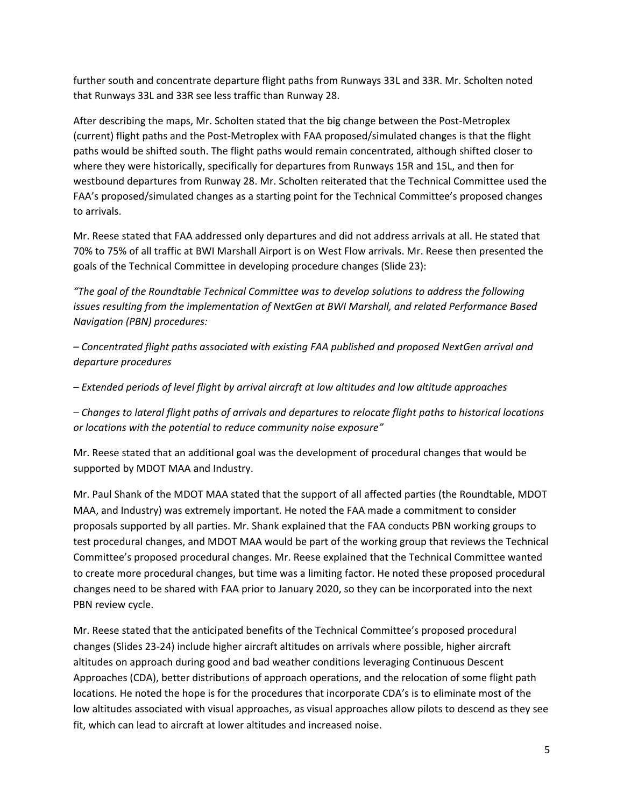further south and concentrate departure flight paths from Runways 33L and 33R. Mr. Scholten noted that Runways 33L and 33R see less traffic than Runway 28.

After describing the maps, Mr. Scholten stated that the big change between the Post-Metroplex (current) flight paths and the Post-Metroplex with FAA proposed/simulated changes is that the flight paths would be shifted south. The flight paths would remain concentrated, although shifted closer to where they were historically, specifically for departures from Runways 15R and 15L, and then for westbound departures from Runway 28. Mr. Scholten reiterated that the Technical Committee used the FAA's proposed/simulated changes as a starting point for the Technical Committee's proposed changes to arrivals.

Mr. Reese stated that FAA addressed only departures and did not address arrivals at all. He stated that 70% to 75% of all traffic at BWI Marshall Airport is on West Flow arrivals. Mr. Reese then presented the goals of the Technical Committee in developing procedure changes (Slide 23):

*"The goal of the Roundtable Technical Committee was to develop solutions to address the following issues resulting from the implementation of NextGen at BWI Marshall, and related Performance Based Navigation (PBN) procedures:*

*– Concentrated flight paths associated with existing FAA published and proposed NextGen arrival and departure procedures*

*– Extended periods of level flight by arrival aircraft at low altitudes and low altitude approaches*

*– Changes to lateral flight paths of arrivals and departures to relocate flight paths to historical locations or locations with the potential to reduce community noise exposure"*

Mr. Reese stated that an additional goal was the development of procedural changes that would be supported by MDOT MAA and Industry.

Mr. Paul Shank of the MDOT MAA stated that the support of all affected parties (the Roundtable, MDOT MAA, and Industry) was extremely important. He noted the FAA made a commitment to consider proposals supported by all parties. Mr. Shank explained that the FAA conducts PBN working groups to test procedural changes, and MDOT MAA would be part of the working group that reviews the Technical Committee's proposed procedural changes. Mr. Reese explained that the Technical Committee wanted to create more procedural changes, but time was a limiting factor. He noted these proposed procedural changes need to be shared with FAA prior to January 2020, so they can be incorporated into the next PBN review cycle.

Mr. Reese stated that the anticipated benefits of the Technical Committee's proposed procedural changes (Slides 23-24) include higher aircraft altitudes on arrivals where possible, higher aircraft altitudes on approach during good and bad weather conditions leveraging Continuous Descent Approaches (CDA), better distributions of approach operations, and the relocation of some flight path locations. He noted the hope is for the procedures that incorporate CDA's is to eliminate most of the low altitudes associated with visual approaches, as visual approaches allow pilots to descend as they see fit, which can lead to aircraft at lower altitudes and increased noise.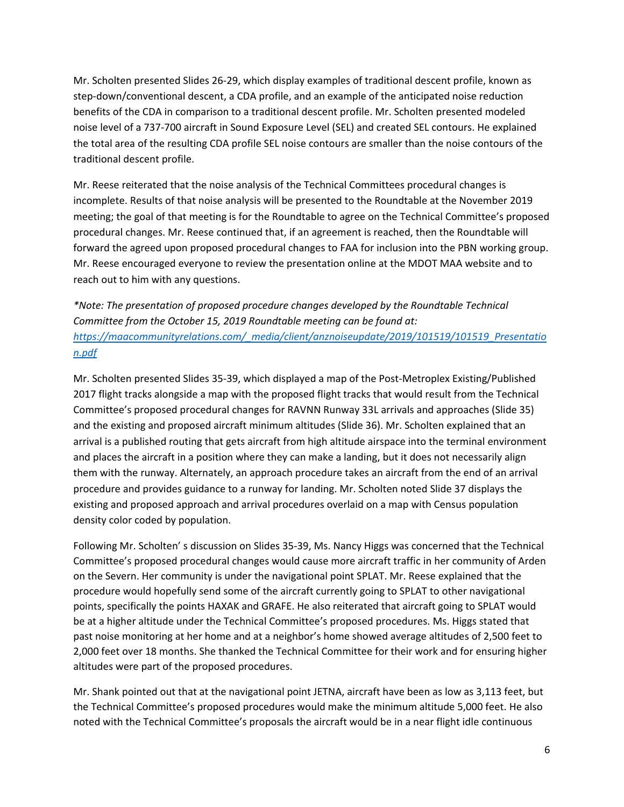Mr. Scholten presented Slides 26-29, which display examples of traditional descent profile, known as step-down/conventional descent, a CDA profile, and an example of the anticipated noise reduction benefits of the CDA in comparison to a traditional descent profile. Mr. Scholten presented modeled noise level of a 737-700 aircraft in Sound Exposure Level (SEL) and created SEL contours. He explained the total area of the resulting CDA profile SEL noise contours are smaller than the noise contours of the traditional descent profile.

Mr. Reese reiterated that the noise analysis of the Technical Committees procedural changes is incomplete. Results of that noise analysis will be presented to the Roundtable at the November 2019 meeting; the goal of that meeting is for the Roundtable to agree on the Technical Committee's proposed procedural changes. Mr. Reese continued that, if an agreement is reached, then the Roundtable will forward the agreed upon proposed procedural changes to FAA for inclusion into the PBN working group. Mr. Reese encouraged everyone to review the presentation online at the MDOT MAA website and to reach out to him with any questions.

*\*Note: The presentation of proposed procedure changes developed by the Roundtable Technical Committee from the October 15, 2019 Roundtable meeting can be found at: [https://maacommunityrelations.com/\\_media/client/anznoiseupdate/2019/101519/101519\\_Presentatio](https://maacommunityrelations.com/_media/client/anznoiseupdate/2019/101519/101519_Presentation.pdf) [n.pdf](https://maacommunityrelations.com/_media/client/anznoiseupdate/2019/101519/101519_Presentation.pdf)*

Mr. Scholten presented Slides 35-39, which displayed a map of the Post-Metroplex Existing/Published 2017 flight tracks alongside a map with the proposed flight tracks that would result from the Technical Committee's proposed procedural changes for RAVNN Runway 33L arrivals and approaches (Slide 35) and the existing and proposed aircraft minimum altitudes (Slide 36). Mr. Scholten explained that an arrival is a published routing that gets aircraft from high altitude airspace into the terminal environment and places the aircraft in a position where they can make a landing, but it does not necessarily align them with the runway. Alternately, an approach procedure takes an aircraft from the end of an arrival procedure and provides guidance to a runway for landing. Mr. Scholten noted Slide 37 displays the existing and proposed approach and arrival procedures overlaid on a map with Census population density color coded by population.

Following Mr. Scholten' s discussion on Slides 35-39, Ms. Nancy Higgs was concerned that the Technical Committee's proposed procedural changes would cause more aircraft traffic in her community of Arden on the Severn. Her community is under the navigational point SPLAT. Mr. Reese explained that the procedure would hopefully send some of the aircraft currently going to SPLAT to other navigational points, specifically the points HAXAK and GRAFE. He also reiterated that aircraft going to SPLAT would be at a higher altitude under the Technical Committee's proposed procedures. Ms. Higgs stated that past noise monitoring at her home and at a neighbor's home showed average altitudes of 2,500 feet to 2,000 feet over 18 months. She thanked the Technical Committee for their work and for ensuring higher altitudes were part of the proposed procedures.

Mr. Shank pointed out that at the navigational point JETNA, aircraft have been as low as 3,113 feet, but the Technical Committee's proposed procedures would make the minimum altitude 5,000 feet. He also noted with the Technical Committee's proposals the aircraft would be in a near flight idle continuous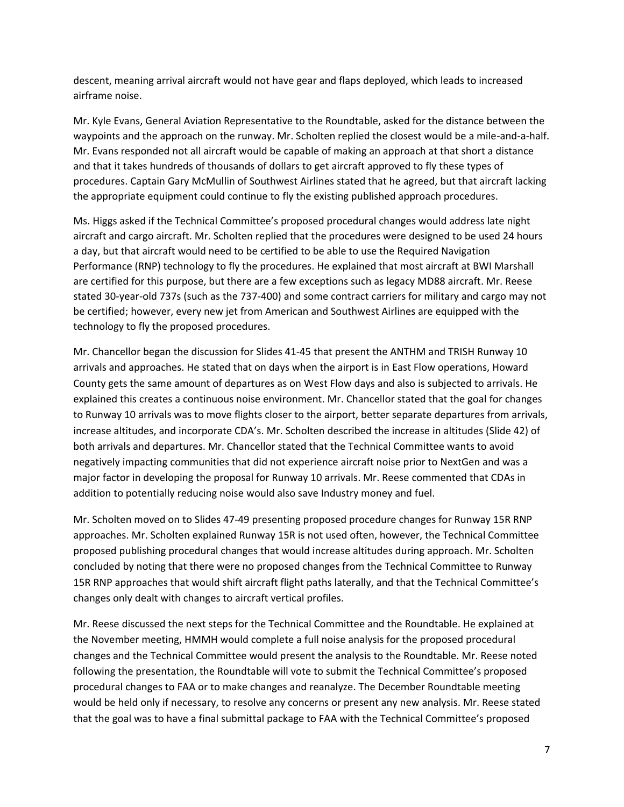descent, meaning arrival aircraft would not have gear and flaps deployed, which leads to increased airframe noise.

Mr. Kyle Evans, General Aviation Representative to the Roundtable, asked for the distance between the waypoints and the approach on the runway. Mr. Scholten replied the closest would be a mile-and-a-half. Mr. Evans responded not all aircraft would be capable of making an approach at that short a distance and that it takes hundreds of thousands of dollars to get aircraft approved to fly these types of procedures. Captain Gary McMullin of Southwest Airlines stated that he agreed, but that aircraft lacking the appropriate equipment could continue to fly the existing published approach procedures.

Ms. Higgs asked if the Technical Committee's proposed procedural changes would address late night aircraft and cargo aircraft. Mr. Scholten replied that the procedures were designed to be used 24 hours a day, but that aircraft would need to be certified to be able to use the Required Navigation Performance (RNP) technology to fly the procedures. He explained that most aircraft at BWI Marshall are certified for this purpose, but there are a few exceptions such as legacy MD88 aircraft. Mr. Reese stated 30-year-old 737s (such as the 737-400) and some contract carriers for military and cargo may not be certified; however, every new jet from American and Southwest Airlines are equipped with the technology to fly the proposed procedures.

Mr. Chancellor began the discussion for Slides 41-45 that present the ANTHM and TRISH Runway 10 arrivals and approaches. He stated that on days when the airport is in East Flow operations, Howard County gets the same amount of departures as on West Flow days and also is subjected to arrivals. He explained this creates a continuous noise environment. Mr. Chancellor stated that the goal for changes to Runway 10 arrivals was to move flights closer to the airport, better separate departures from arrivals, increase altitudes, and incorporate CDA's. Mr. Scholten described the increase in altitudes (Slide 42) of both arrivals and departures. Mr. Chancellor stated that the Technical Committee wants to avoid negatively impacting communities that did not experience aircraft noise prior to NextGen and was a major factor in developing the proposal for Runway 10 arrivals. Mr. Reese commented that CDAs in addition to potentially reducing noise would also save Industry money and fuel.

Mr. Scholten moved on to Slides 47-49 presenting proposed procedure changes for Runway 15R RNP approaches. Mr. Scholten explained Runway 15R is not used often, however, the Technical Committee proposed publishing procedural changes that would increase altitudes during approach. Mr. Scholten concluded by noting that there were no proposed changes from the Technical Committee to Runway 15R RNP approaches that would shift aircraft flight paths laterally, and that the Technical Committee's changes only dealt with changes to aircraft vertical profiles.

Mr. Reese discussed the next steps for the Technical Committee and the Roundtable. He explained at the November meeting, HMMH would complete a full noise analysis for the proposed procedural changes and the Technical Committee would present the analysis to the Roundtable. Mr. Reese noted following the presentation, the Roundtable will vote to submit the Technical Committee's proposed procedural changes to FAA or to make changes and reanalyze. The December Roundtable meeting would be held only if necessary, to resolve any concerns or present any new analysis. Mr. Reese stated that the goal was to have a final submittal package to FAA with the Technical Committee's proposed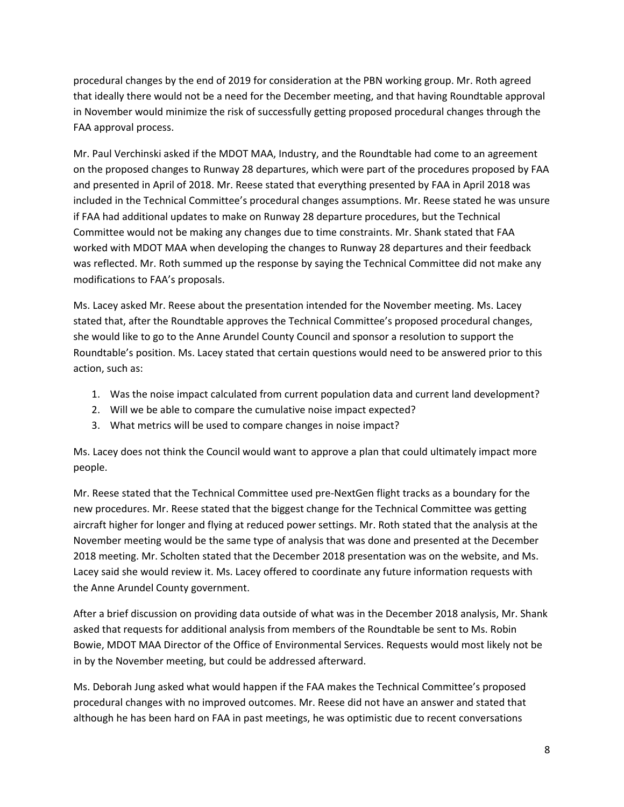procedural changes by the end of 2019 for consideration at the PBN working group. Mr. Roth agreed that ideally there would not be a need for the December meeting, and that having Roundtable approval in November would minimize the risk of successfully getting proposed procedural changes through the FAA approval process.

Mr. Paul Verchinski asked if the MDOT MAA, Industry, and the Roundtable had come to an agreement on the proposed changes to Runway 28 departures, which were part of the procedures proposed by FAA and presented in April of 2018. Mr. Reese stated that everything presented by FAA in April 2018 was included in the Technical Committee's procedural changes assumptions. Mr. Reese stated he was unsure if FAA had additional updates to make on Runway 28 departure procedures, but the Technical Committee would not be making any changes due to time constraints. Mr. Shank stated that FAA worked with MDOT MAA when developing the changes to Runway 28 departures and their feedback was reflected. Mr. Roth summed up the response by saying the Technical Committee did not make any modifications to FAA's proposals.

Ms. Lacey asked Mr. Reese about the presentation intended for the November meeting. Ms. Lacey stated that, after the Roundtable approves the Technical Committee's proposed procedural changes, she would like to go to the Anne Arundel County Council and sponsor a resolution to support the Roundtable's position. Ms. Lacey stated that certain questions would need to be answered prior to this action, such as:

- 1. Was the noise impact calculated from current population data and current land development?
- 2. Will we be able to compare the cumulative noise impact expected?
- 3. What metrics will be used to compare changes in noise impact?

Ms. Lacey does not think the Council would want to approve a plan that could ultimately impact more people.

Mr. Reese stated that the Technical Committee used pre-NextGen flight tracks as a boundary for the new procedures. Mr. Reese stated that the biggest change for the Technical Committee was getting aircraft higher for longer and flying at reduced power settings. Mr. Roth stated that the analysis at the November meeting would be the same type of analysis that was done and presented at the December 2018 meeting. Mr. Scholten stated that the December 2018 presentation was on the website, and Ms. Lacey said she would review it. Ms. Lacey offered to coordinate any future information requests with the Anne Arundel County government.

After a brief discussion on providing data outside of what was in the December 2018 analysis, Mr. Shank asked that requests for additional analysis from members of the Roundtable be sent to Ms. Robin Bowie, MDOT MAA Director of the Office of Environmental Services. Requests would most likely not be in by the November meeting, but could be addressed afterward.

Ms. Deborah Jung asked what would happen if the FAA makes the Technical Committee's proposed procedural changes with no improved outcomes. Mr. Reese did not have an answer and stated that although he has been hard on FAA in past meetings, he was optimistic due to recent conversations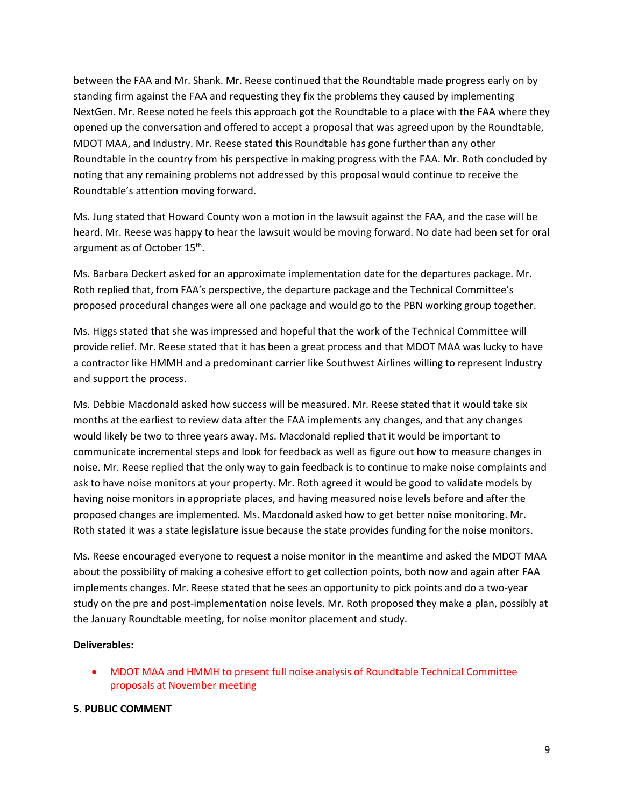between the FAA and Mr. Shank. Mr. Reese continued that the Roundtable made progress early on by standing firm against the FAA and requesting they fix the problems they caused by implementing NextGen. Mr. Reese noted he feels this approach got the Roundtable to a place with the FAA where they opened up the conversation and offered to accept a proposal that was agreed upon by the Roundtable, MDOT MAA, and Industry. Mr. Reese stated this Roundtable has gone further than any other Roundtable in the country from his perspective in making progress with the FAA. Mr. Roth concluded by noting that any remaining problems not addressed by this proposal would continue to receive the Roundtable's attention moving forward.

Ms. Jung stated that Howard County won a motion in the lawsuit against the FAA, and the case will be heard. Mr. Reese was happy to hear the lawsuit would be moving forward. No date had been set for oral argument as of October 15<sup>th</sup>.

Ms. Barbara Deckert asked for an approximate implementation date for the departures package. Mr. Roth replied that, from FAA's perspective, the departure package and the Technical Committee's proposed procedural changes were all one package and would go to the PBN working group together.

Ms. Higgs stated that she was impressed and hopeful that the work of the Technical Committee will provide relief. Mr. Reese stated that it has been a great process and that MDOT MAA was lucky to have a contractor like HMMH and a predominant carrier like Southwest Airlines willing to represent Industry and support the process.

Ms. Debbie Macdonald asked how success will be measured. Mr. Reese stated that it would take six months at the earliest to review data after the FAA implements any changes, and that any changes would likely be two to three years away. Ms. Macdonald replied that it would be important to communicate incremental steps and look for feedback as well as figure out how to measure changes in noise. Mr. Reese replied that the only way to gain feedback is to continue to make noise complaints and ask to have noise monitors at your property. Mr. Roth agreed it would be good to validate models by having noise monitors in appropriate places, and having measured noise levels before and after the proposed changes are implemented. Ms. Macdonald asked how to get better noise monitoring. Mr. Roth stated it was a state legislature issue because the state provides funding for the noise monitors.

Ms. Reese encouraged everyone to request a noise monitor in the meantime and asked the MDOT MAA about the possibility of making a cohesive effort to get collection points, both now and again after FAA implements changes. Mr. Reese stated that he sees an opportunity to pick points and do a two-year study on the pre and post-implementation noise levels. Mr. Roth proposed they make a plan, possibly at the January Roundtable meeting, for noise monitor placement and study.

### **Deliverables:**

• MDOT MAA and HMMH to present full noise analysis of Roundtable Technical Committee proposals at November meeting

### **5. PUBLIC COMMENT**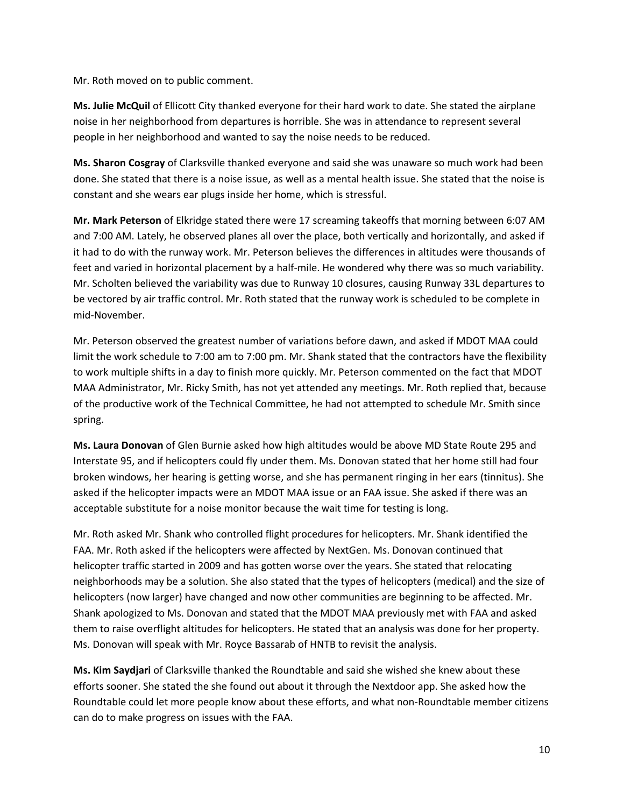Mr. Roth moved on to public comment.

**Ms. Julie McQuil** of Ellicott City thanked everyone for their hard work to date. She stated the airplane noise in her neighborhood from departures is horrible. She was in attendance to represent several people in her neighborhood and wanted to say the noise needs to be reduced.

**Ms. Sharon Cosgray** of Clarksville thanked everyone and said she was unaware so much work had been done. She stated that there is a noise issue, as well as a mental health issue. She stated that the noise is constant and she wears ear plugs inside her home, which is stressful.

**Mr. Mark Peterson** of Elkridge stated there were 17 screaming takeoffs that morning between 6:07 AM and 7:00 AM. Lately, he observed planes all over the place, both vertically and horizontally, and asked if it had to do with the runway work. Mr. Peterson believes the differences in altitudes were thousands of feet and varied in horizontal placement by a half-mile. He wondered why there was so much variability. Mr. Scholten believed the variability was due to Runway 10 closures, causing Runway 33L departures to be vectored by air traffic control. Mr. Roth stated that the runway work is scheduled to be complete in mid-November.

Mr. Peterson observed the greatest number of variations before dawn, and asked if MDOT MAA could limit the work schedule to 7:00 am to 7:00 pm. Mr. Shank stated that the contractors have the flexibility to work multiple shifts in a day to finish more quickly. Mr. Peterson commented on the fact that MDOT MAA Administrator, Mr. Ricky Smith, has not yet attended any meetings. Mr. Roth replied that, because of the productive work of the Technical Committee, he had not attempted to schedule Mr. Smith since spring.

**Ms. Laura Donovan** of Glen Burnie asked how high altitudes would be above MD State Route 295 and Interstate 95, and if helicopters could fly under them. Ms. Donovan stated that her home still had four broken windows, her hearing is getting worse, and she has permanent ringing in her ears (tinnitus). She asked if the helicopter impacts were an MDOT MAA issue or an FAA issue. She asked if there was an acceptable substitute for a noise monitor because the wait time for testing is long.

Mr. Roth asked Mr. Shank who controlled flight procedures for helicopters. Mr. Shank identified the FAA. Mr. Roth asked if the helicopters were affected by NextGen. Ms. Donovan continued that helicopter traffic started in 2009 and has gotten worse over the years. She stated that relocating neighborhoods may be a solution. She also stated that the types of helicopters (medical) and the size of helicopters (now larger) have changed and now other communities are beginning to be affected. Mr. Shank apologized to Ms. Donovan and stated that the MDOT MAA previously met with FAA and asked them to raise overflight altitudes for helicopters. He stated that an analysis was done for her property. Ms. Donovan will speak with Mr. Royce Bassarab of HNTB to revisit the analysis.

**Ms. Kim Saydjari** of Clarksville thanked the Roundtable and said she wished she knew about these efforts sooner. She stated the she found out about it through the Nextdoor app. She asked how the Roundtable could let more people know about these efforts, and what non-Roundtable member citizens can do to make progress on issues with the FAA.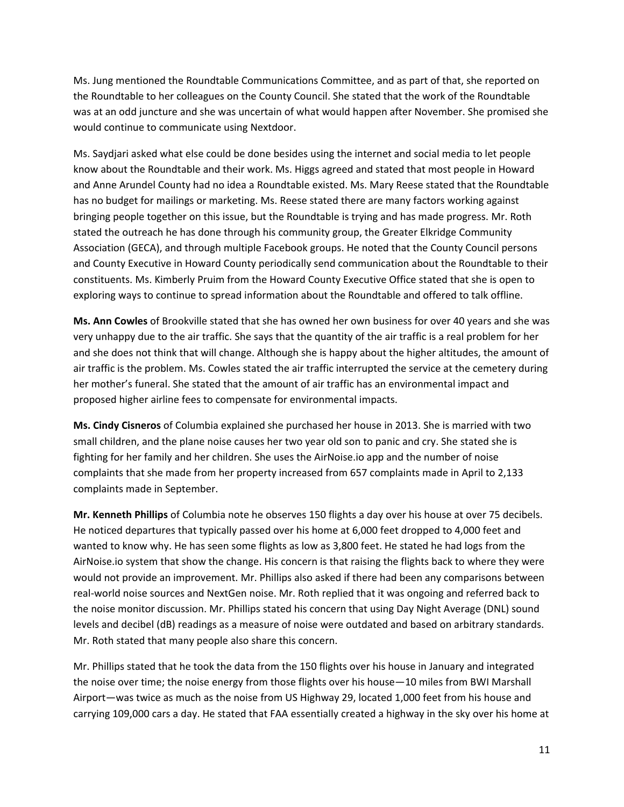Ms. Jung mentioned the Roundtable Communications Committee, and as part of that, she reported on the Roundtable to her colleagues on the County Council. She stated that the work of the Roundtable was at an odd juncture and she was uncertain of what would happen after November. She promised she would continue to communicate using Nextdoor.

Ms. Saydjari asked what else could be done besides using the internet and social media to let people know about the Roundtable and their work. Ms. Higgs agreed and stated that most people in Howard and Anne Arundel County had no idea a Roundtable existed. Ms. Mary Reese stated that the Roundtable has no budget for mailings or marketing. Ms. Reese stated there are many factors working against bringing people together on this issue, but the Roundtable is trying and has made progress. Mr. Roth stated the outreach he has done through his community group, the Greater Elkridge Community Association (GECA), and through multiple Facebook groups. He noted that the County Council persons and County Executive in Howard County periodically send communication about the Roundtable to their constituents. Ms. Kimberly Pruim from the Howard County Executive Office stated that she is open to exploring ways to continue to spread information about the Roundtable and offered to talk offline.

**Ms. Ann Cowles** of Brookville stated that she has owned her own business for over 40 years and she was very unhappy due to the air traffic. She says that the quantity of the air traffic is a real problem for her and she does not think that will change. Although she is happy about the higher altitudes, the amount of air traffic is the problem. Ms. Cowles stated the air traffic interrupted the service at the cemetery during her mother's funeral. She stated that the amount of air traffic has an environmental impact and proposed higher airline fees to compensate for environmental impacts.

**Ms. Cindy Cisneros** of Columbia explained she purchased her house in 2013. She is married with two small children, and the plane noise causes her two year old son to panic and cry. She stated she is fighting for her family and her children. She uses the AirNoise.io app and the number of noise complaints that she made from her property increased from 657 complaints made in April to 2,133 complaints made in September.

**Mr. Kenneth Phillips** of Columbia note he observes 150 flights a day over his house at over 75 decibels. He noticed departures that typically passed over his home at 6,000 feet dropped to 4,000 feet and wanted to know why. He has seen some flights as low as 3,800 feet. He stated he had logs from the AirNoise.io system that show the change. His concern is that raising the flights back to where they were would not provide an improvement. Mr. Phillips also asked if there had been any comparisons between real-world noise sources and NextGen noise. Mr. Roth replied that it was ongoing and referred back to the noise monitor discussion. Mr. Phillips stated his concern that using Day Night Average (DNL) sound levels and decibel (dB) readings as a measure of noise were outdated and based on arbitrary standards. Mr. Roth stated that many people also share this concern.

Mr. Phillips stated that he took the data from the 150 flights over his house in January and integrated the noise over time; the noise energy from those flights over his house—10 miles from BWI Marshall Airport—was twice as much as the noise from US Highway 29, located 1,000 feet from his house and carrying 109,000 cars a day. He stated that FAA essentially created a highway in the sky over his home at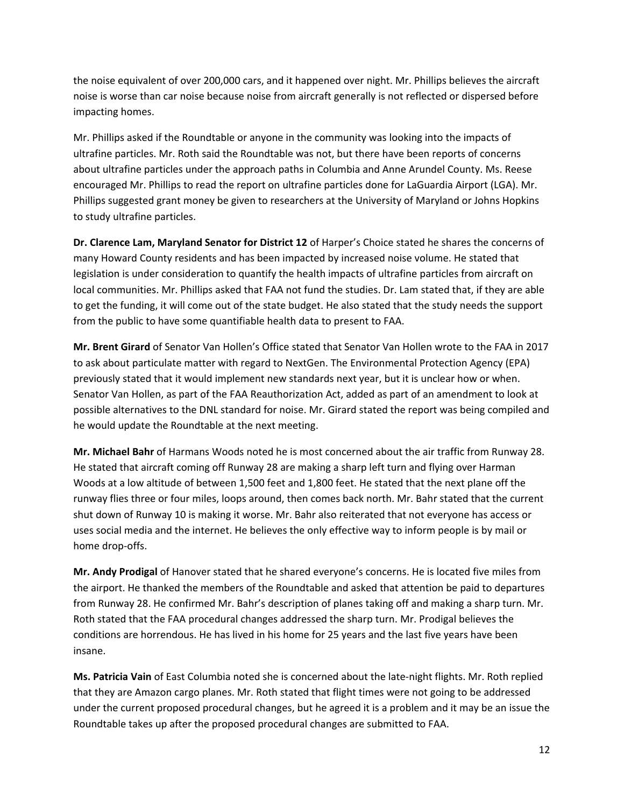the noise equivalent of over 200,000 cars, and it happened over night. Mr. Phillips believes the aircraft noise is worse than car noise because noise from aircraft generally is not reflected or dispersed before impacting homes.

Mr. Phillips asked if the Roundtable or anyone in the community was looking into the impacts of ultrafine particles. Mr. Roth said the Roundtable was not, but there have been reports of concerns about ultrafine particles under the approach paths in Columbia and Anne Arundel County. Ms. Reese encouraged Mr. Phillips to read the report on ultrafine particles done for LaGuardia Airport (LGA). Mr. Phillips suggested grant money be given to researchers at the University of Maryland or Johns Hopkins to study ultrafine particles.

**Dr. Clarence Lam, Maryland Senator for District 12** of Harper's Choice stated he shares the concerns of many Howard County residents and has been impacted by increased noise volume. He stated that legislation is under consideration to quantify the health impacts of ultrafine particles from aircraft on local communities. Mr. Phillips asked that FAA not fund the studies. Dr. Lam stated that, if they are able to get the funding, it will come out of the state budget. He also stated that the study needs the support from the public to have some quantifiable health data to present to FAA.

**Mr. Brent Girard** of Senator Van Hollen's Office stated that Senator Van Hollen wrote to the FAA in 2017 to ask about particulate matter with regard to NextGen. The Environmental Protection Agency (EPA) previously stated that it would implement new standards next year, but it is unclear how or when. Senator Van Hollen, as part of the FAA Reauthorization Act, added as part of an amendment to look at possible alternatives to the DNL standard for noise. Mr. Girard stated the report was being compiled and he would update the Roundtable at the next meeting.

**Mr. Michael Bahr** of Harmans Woods noted he is most concerned about the air traffic from Runway 28. He stated that aircraft coming off Runway 28 are making a sharp left turn and flying over Harman Woods at a low altitude of between 1,500 feet and 1,800 feet. He stated that the next plane off the runway flies three or four miles, loops around, then comes back north. Mr. Bahr stated that the current shut down of Runway 10 is making it worse. Mr. Bahr also reiterated that not everyone has access or uses social media and the internet. He believes the only effective way to inform people is by mail or home drop-offs.

**Mr. Andy Prodigal** of Hanover stated that he shared everyone's concerns. He is located five miles from the airport. He thanked the members of the Roundtable and asked that attention be paid to departures from Runway 28. He confirmed Mr. Bahr's description of planes taking off and making a sharp turn. Mr. Roth stated that the FAA procedural changes addressed the sharp turn. Mr. Prodigal believes the conditions are horrendous. He has lived in his home for 25 years and the last five years have been insane.

**Ms. Patricia Vain** of East Columbia noted she is concerned about the late-night flights. Mr. Roth replied that they are Amazon cargo planes. Mr. Roth stated that flight times were not going to be addressed under the current proposed procedural changes, but he agreed it is a problem and it may be an issue the Roundtable takes up after the proposed procedural changes are submitted to FAA.